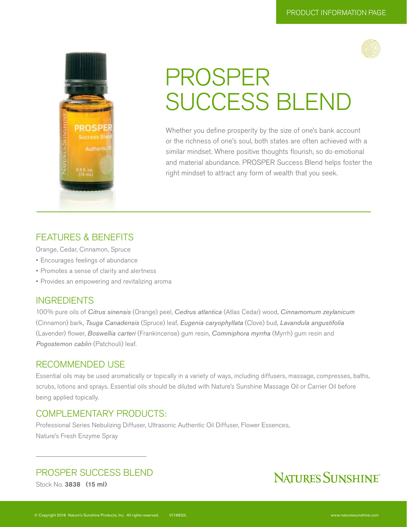



# PROSPER SUCCESS BLEND

Whether you define prosperity by the size of one's bank account or the richness of one's soul, both states are often achieved with a similar mindset. Where positive thoughts flourish, so do emotional and material abundance. PROSPER Success Blend helps foster the right mindset to attract any form of wealth that you seek.

### FEATURES & BENEFITS

Orange, Cedar, Cinnamon, Spruce

- Encourages feelings of abundance
- Promotes a sense of clarity and alertness
- Provides an empowering and revitalizing aroma

### **INGREDIENTS**

100% pure oils of *Citrus sinensis* (Orange) peel, *Cedrus atlantica* (Atlas Cedar) wood, *Cinnamomum zeylanicum*  (Cinnamon) bark, *Tsuga Canadensis* (Spruce) leaf, *Eugenia caryophyllata* (Clove) bud, *Lavandula angustifolia*  (Lavender) flower, *Boswellia carteri* (Frankincense) gum resin, *Commiphora myrrha* (Myrrh) gum resin and *Pogostemon cablin* (Patchouli) leaf.

### RECOMMENDED USE

Essential oils may be used aromatically or topically in a variety of ways, including diffusers, massage, compresses, baths, scrubs, lotions and sprays. Essential oils should be diluted with Nature's Sunshine Massage Oil or Carrier Oil before being applied topically.

### COMPLEMENTARY PRODUCTS:

Professional Series Nebulizing Diffuser, Ultrasonic Authentic Oil Diffuser, Flower Essences, Nature's Fresh Enzyme Spray

### PROSPER SUCCESS BLEND

Stock No. 3838 (15 ml)

### NATURE'S SUNSHINE®